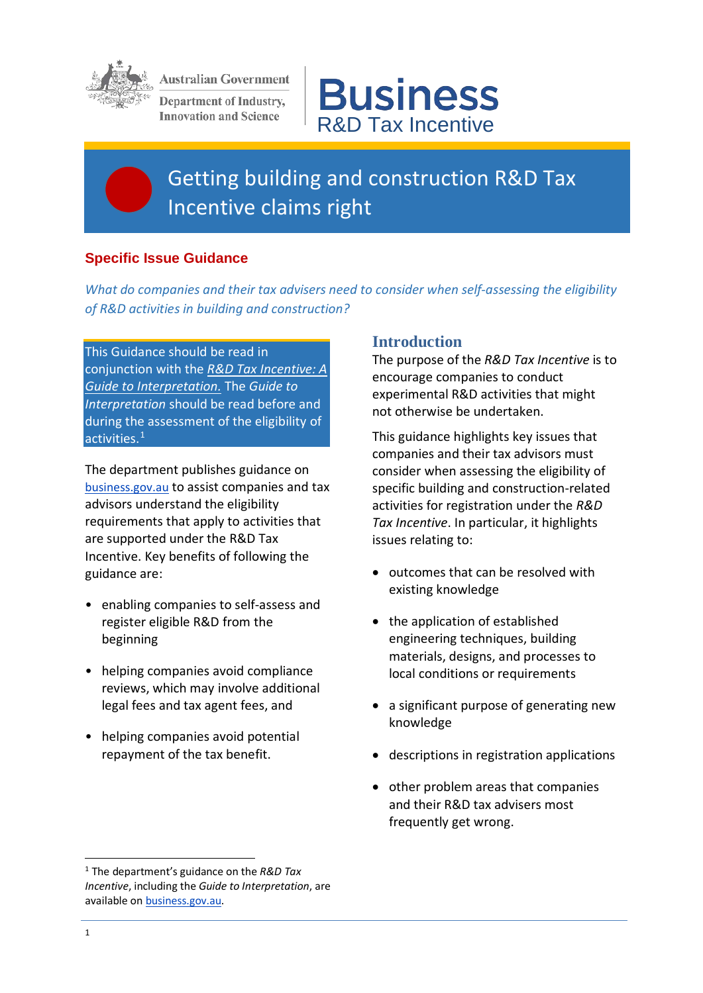

**Australian Government** 

Department of Industry, **Innovation and Science** 



# Getting building and construction R&D Tax Incentive claims right

## **Specific Issue Guidance**

*What do companies and their tax advisers need to consider when self-assessing the eligibility of R&D activities in building and construction?*

This Guidance should be read in conjunction with the *[R&D Tax Incentive: A](https://www.business.gov.au/%7E/media/Business/RDTI/Research-and-development-tax-incentive-guide-to-interpretation-PDF.ashx?la=en)  [Guide to Interpretation.](https://www.business.gov.au/%7E/media/Business/RDTI/Research-and-development-tax-incentive-guide-to-interpretation-PDF.ashx?la=en)* The *Guide to Interpretation* should be read before and during the assessment of the eligibility of activities.[1](#page-0-0)

The department publishes guidance on [business.gov.au](https://www.business.gov.au/assistance/research-and-development-tax-incentive) to assist companies and tax advisors understand the eligibility requirements that apply to activities that are supported under the R&D Tax Incentive. Key benefits of following the guidance are:

- enabling companies to self-assess and register eligible R&D from the beginning
- helping companies avoid compliance reviews, which may involve additional legal fees and tax agent fees, and
- helping companies avoid potential repayment of the tax benefit.

## **Introduction**

The purpose of the *R&D Tax Incentive* is to encourage companies to conduct experimental R&D activities that might not otherwise be undertaken.

This guidance highlights key issues that companies and their tax advisors must consider when assessing the eligibility of specific building and construction-related activities for registration under the *R&D Tax Incentive*. In particular, it highlights issues relating to:

- outcomes that can be resolved with existing knowledge
- the application of established engineering techniques, building materials, designs, and processes to local conditions or requirements
- a significant purpose of generating new knowledge
- descriptions in registration applications
- other problem areas that companies and their R&D tax advisers most frequently get wrong.

**.** 

<span id="page-0-0"></span><sup>1</sup> The department's guidance on the *R&D Tax Incentive*, including the *Guide to Interpretation*, are available on **business.gov.au**.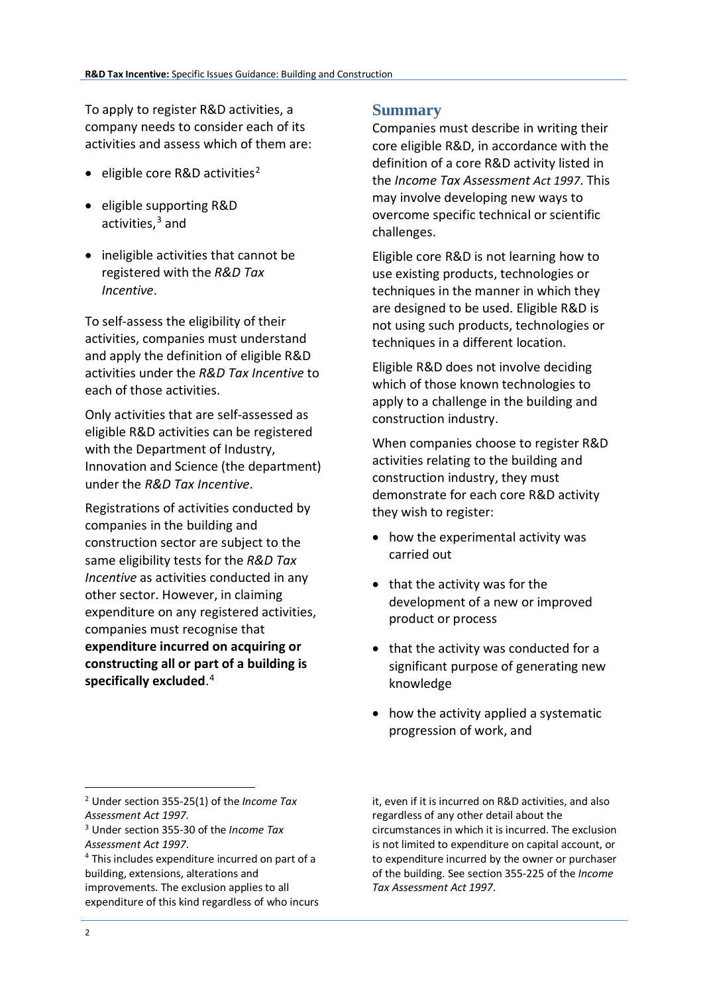To apply to register R&D activities, a company needs to consider each of its activities and assess which of them are:

- eligible core R&D activities<sup>[2](#page-1-0)</sup>
- eligible supporting R&D activities, [3](#page-1-1) and
- ineligible activities that cannot be registered with the *R&D Tax Incentive*.

To self-assess the eligibility of their activities, companies must understand and apply the definition of eligible R&D activities under the *R&D Tax Incentive* to each of those activities.

Only activities that are self-assessed as eligible R&D activities can be registered with the Department of Industry, Innovation and Science (the department) under the *R&D Tax Incentive*.

Registrations of activities conducted by companies in the building and construction sector are subject to the same eligibility tests for the *R&D Tax Incentive* as activities conducted in any other sector. However, in claiming expenditure on any registered activities, companies must recognise that **expenditure incurred on acquiring or constructing all or part of a building is specifically excluded**. [4](#page-1-2)

## **Summary**

Companies must describe in writing their core eligible R&D, in accordance with the definition of a core R&D activity listed in the *Income Tax Assessment Act 1997*. This may involve developing new ways to overcome specific technical or scientific challenges.

Eligible core R&D is not learning how to use existing products, technologies or techniques in the manner in which they are designed to be used. Eligible R&D is not using such products, technologies or techniques in a different location.

Eligible R&D does not involve deciding which of those known technologies to apply to a challenge in the building and construction industry.

When companies choose to register R&D activities relating to the building and construction industry, they must demonstrate for each core R&D activity they wish to register:

- how the experimental activity was carried out
- that the activity was for the development of a new or improved product or process
- that the activity was conducted for a significant purpose of generating new knowledge
- how the activity applied a systematic progression of work, and

<span id="page-1-0"></span><sup>2</sup> Under section 355-25(1) of the *Income Tax Assessment Act 1997*.

it, even if it is incurred on R&D activities, and also regardless of any other detail about the circumstances in which it is incurred. The exclusion is not limited to expenditure on capital account, or to expenditure incurred by the owner or purchaser of the building. See section 355-225 of the *Income Tax Assessment Act 1997*.

<span id="page-1-1"></span><sup>3</sup> Under section 355-30 of the *Income Tax Assessment Act 1997*.

<span id="page-1-2"></span><sup>4</sup> This includes expenditure incurred on part of a building, extensions, alterations and improvements. The exclusion applies to all expenditure of this kind regardless of who incurs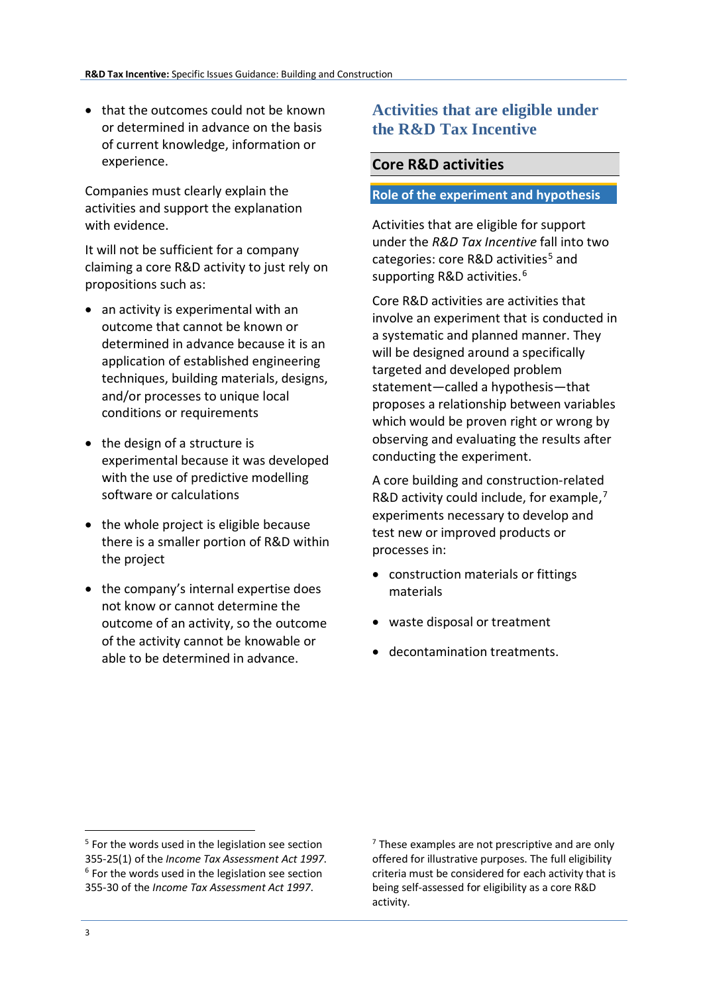• that the outcomes could not be known or determined in advance on the basis of current knowledge, information or experience.

Companies must clearly explain the activities and support the explanation with evidence.

It will not be sufficient for a company claiming a core R&D activity to just rely on propositions such as:

- an activity is experimental with an outcome that cannot be known or determined in advance because it is an application of established engineering techniques, building materials, designs, and/or processes to unique local conditions or requirements
- the design of a structure is experimental because it was developed with the use of predictive modelling software or calculations
- the whole project is eligible because there is a smaller portion of R&D within the project
- the company's internal expertise does not know or cannot determine the outcome of an activity, so the outcome of the activity cannot be knowable or able to be determined in advance.

## **Activities that are eligible under the R&D Tax Incentive**

### **Core R&D activities**

#### **Role of the experiment and hypothesis**

Activities that are eligible for support under the *R&D Tax Incentive* fall into two categories: core R&D activities<sup>[5](#page-2-0)</sup> and supporting R&D activities.<sup>[6](#page-2-1)</sup>

Core R&D activities are activities that involve an experiment that is conducted in a systematic and planned manner. They will be designed around a specifically targeted and developed problem statement—called a hypothesis—that proposes a relationship between variables which would be proven right or wrong by observing and evaluating the results after conducting the experiment.

A core building and construction-related R&D activity could include, for example, $<sup>7</sup>$  $<sup>7</sup>$  $<sup>7</sup>$ </sup> experiments necessary to develop and test new or improved products or processes in:

- construction materials or fittings materials
- waste disposal or treatment
- decontamination treatments.

 $<sup>7</sup>$  These examples are not prescriptive and are only</sup> offered for illustrative purposes. The full eligibility criteria must be considered for each activity that is being self-assessed for eligibility as a core R&D activity.

**.** 

<span id="page-2-1"></span><span id="page-2-0"></span><sup>&</sup>lt;sup>5</sup> For the words used in the legislation see section 355-25(1) of the *Income Tax Assessment Act 1997*. <sup>6</sup> For the words used in the legislation see section 355-30 of the *Income Tax Assessment Act 1997*.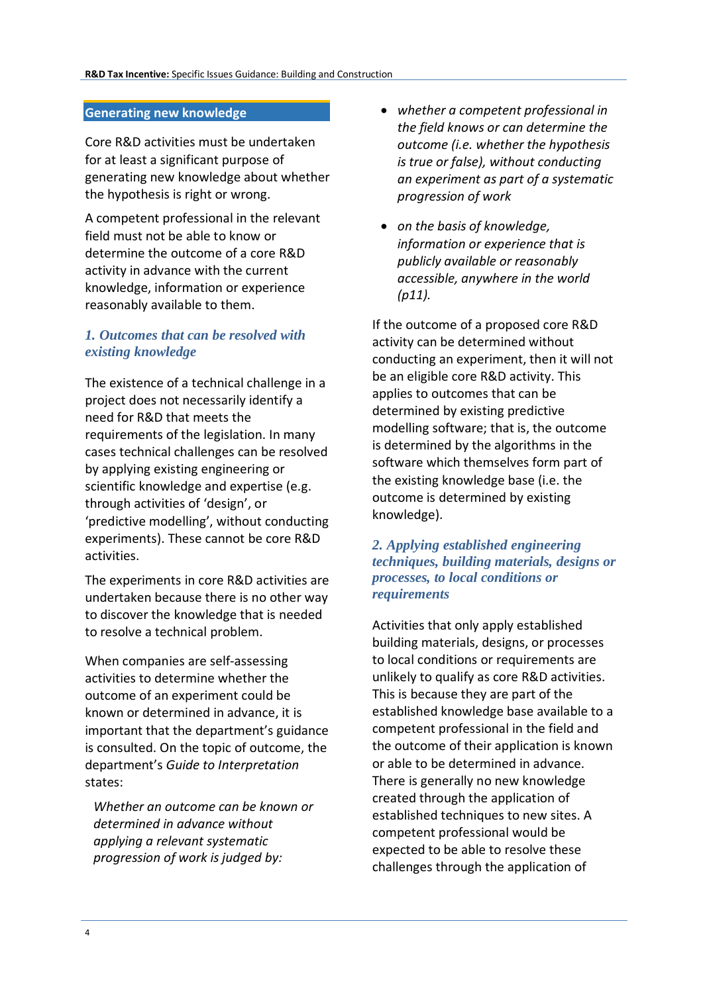#### **Generating new knowledge**

Core R&D activities must be undertaken for at least a significant purpose of generating new knowledge about whether the hypothesis is right or wrong.

A competent professional in the relevant field must not be able to know or determine the outcome of a core R&D activity in advance with the current knowledge, information or experience reasonably available to them.

### *1. Outcomes that can be resolved with existing knowledge*

The existence of a technical challenge in a project does not necessarily identify a need for R&D that meets the requirements of the legislation. In many cases technical challenges can be resolved by applying existing engineering or scientific knowledge and expertise (e.g. through activities of 'design', or 'predictive modelling', without conducting experiments). These cannot be core R&D activities.

The experiments in core R&D activities are undertaken because there is no other way to discover the knowledge that is needed to resolve a technical problem.

When companies are self-assessing activities to determine whether the outcome of an experiment could be known or determined in advance, it is important that the department's guidance is consulted. On the topic of outcome, the department's *Guide to Interpretation* states:

*Whether an outcome can be known or determined in advance without applying a relevant systematic progression of work is judged by:* 

- *whether a competent professional in the field knows or can determine the outcome (i.e. whether the hypothesis is true or false), without conducting an experiment as part of a systematic progression of work*
- *on the basis of knowledge, information or experience that is publicly available or reasonably accessible, anywhere in the world (p11).*

If the outcome of a proposed core R&D activity can be determined without conducting an experiment, then it will not be an eligible core R&D activity. This applies to outcomes that can be determined by existing predictive modelling software; that is, the outcome is determined by the algorithms in the software which themselves form part of the existing knowledge base (i.e. the outcome is determined by existing knowledge).

#### *2. Applying established engineering techniques, building materials, designs or processes, to local conditions or requirements*

Activities that only apply established building materials, designs, or processes to local conditions or requirements are unlikely to qualify as core R&D activities. This is because they are part of the established knowledge base available to a competent professional in the field and the outcome of their application is known or able to be determined in advance. There is generally no new knowledge created through the application of established techniques to new sites. A competent professional would be expected to be able to resolve these challenges through the application of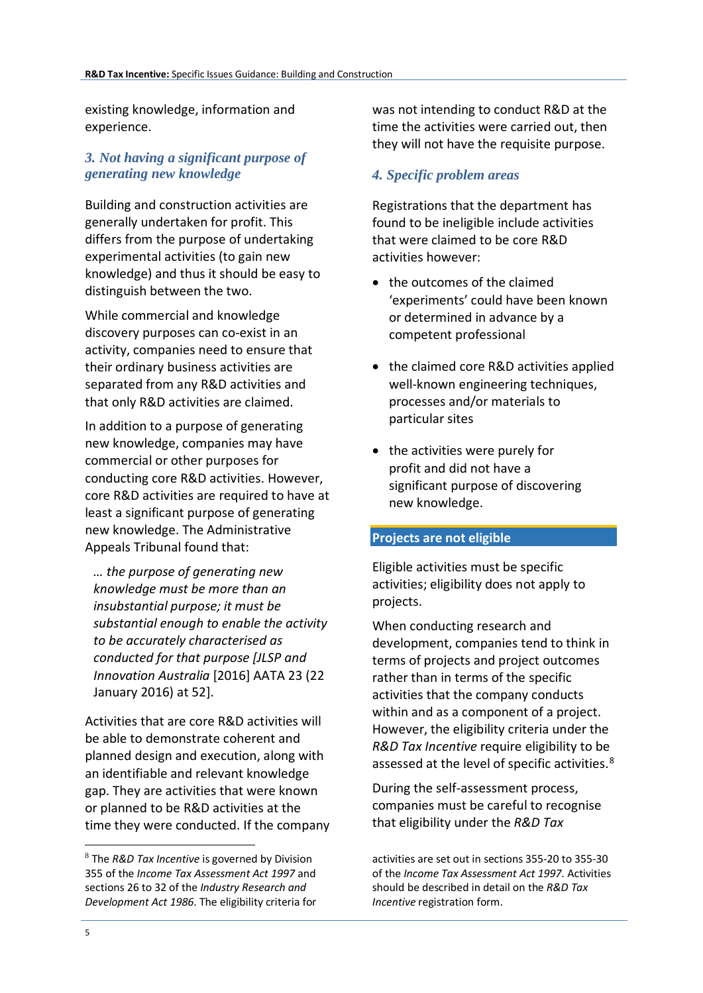existing knowledge, information and experience.

## *3. Not having a significant purpose of generating new knowledge*

Building and construction activities are generally undertaken for profit. This differs from the purpose of undertaking experimental activities (to gain new knowledge) and thus it should be easy to distinguish between the two.

While commercial and knowledge discovery purposes can co-exist in an activity, companies need to ensure that their ordinary business activities are separated from any R&D activities and that only R&D activities are claimed.

In addition to a purpose of generating new knowledge, companies may have commercial or other purposes for conducting core R&D activities. However, core R&D activities are required to have at least a significant purpose of generating new knowledge. The Administrative Appeals Tribunal found that:

*… the purpose of generating new knowledge must be more than an insubstantial purpose; it must be substantial enough to enable the activity to be accurately characterised as conducted for that purpose [JLSP and Innovation Australia* [2016] AATA 23 (22 January 2016) at 52].

Activities that are core R&D activities will be able to demonstrate coherent and planned design and execution, along with an identifiable and relevant knowledge gap. They are activities that were known or planned to be R&D activities at the time they were conducted. If the company was not intending to conduct R&D at the time the activities were carried out, then they will not have the requisite purpose.

## *4. Specific problem areas*

Registrations that the department has found to be ineligible include activities that were claimed to be core R&D activities however:

- the outcomes of the claimed 'experiments' could have been known or determined in advance by a competent professional
- the claimed core R&D activities applied well-known engineering techniques, processes and/or materials to particular sites
- the activities were purely for profit and did not have a significant purpose of discovering new knowledge.

#### **Projects are not eligible**

Eligible activities must be specific activities; eligibility does not apply to projects.

When conducting research and development, companies tend to think in terms of projects and project outcomes rather than in terms of the specific activities that the company conducts within and as a component of a project. However, the eligibility criteria under the *R&D Tax Incentive* require eligibility to be assessed at the level of specific activities.<sup>[8](#page-4-0)</sup>

During the self-assessment process, companies must be careful to recognise that eligibility under the *R&D Tax* 

activities are set out in sections 355-20 to 355-30 of the *Income Tax Assessment Act 1997*. Activities should be described in detail on the *R&D Tax Incentive* registration form.

<span id="page-4-0"></span><sup>8</sup> The *R&D Tax Incentive* is governed by Division 355 of the *Income Tax Assessment Act 1997* and sections 26 to 32 of the *Industry Research and Development Act 1986*. The eligibility criteria for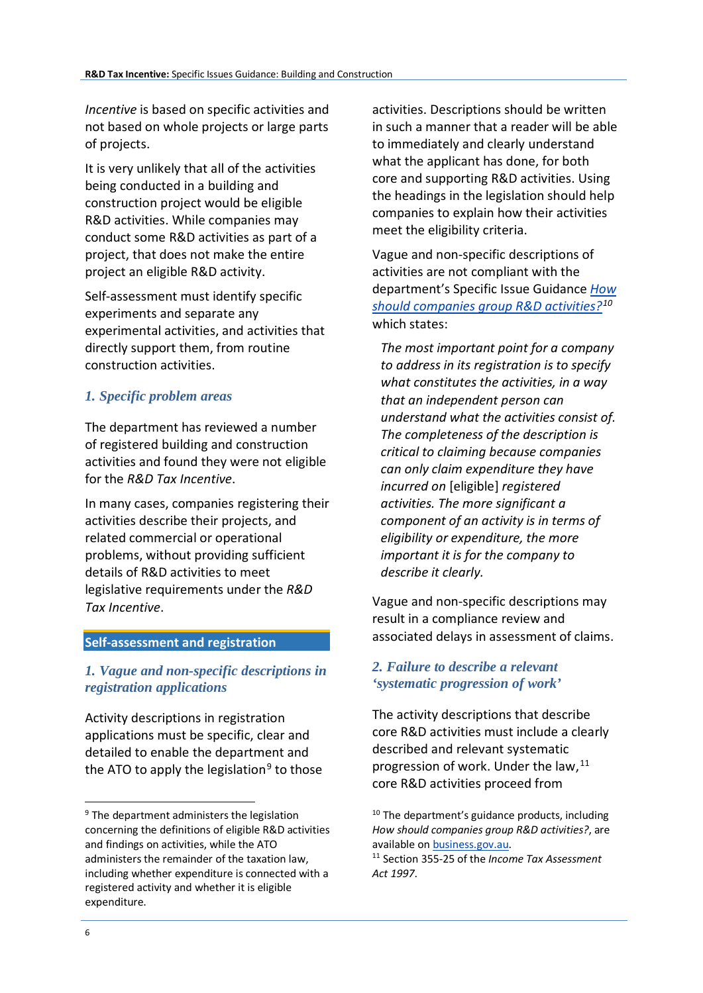*Incentive* is based on specific activities and not based on whole projects or large parts of projects.

It is very unlikely that all of the activities being conducted in a building and construction project would be eligible R&D activities. While companies may conduct some R&D activities as part of a project, that does not make the entire project an eligible R&D activity.

Self-assessment must identify specific experiments and separate any experimental activities, and activities that directly support them, from routine construction activities.

## *1. Specific problem areas*

The department has reviewed a number of registered building and construction activities and found they were not eligible for the *R&D Tax Incentive*.

In many cases, companies registering their activities describe their projects, and related commercial or operational problems, without providing sufficient details of R&D activities to meet legislative requirements under the *R&D Tax Incentive*.

#### **Self-assessment and registration**

### *1. Vague and non-specific descriptions in registration applications*

Activity descriptions in registration applications must be specific, clear and detailed to enable the department and the ATO to apply the legislation<sup>[9](#page-5-0)</sup> to those activities. Descriptions should be written in such a manner that a reader will be able to immediately and clearly understand what the applicant has done, for both core and supporting R&D activities. Using the headings in the legislation should help companies to explain how their activities meet the eligibility criteria.

Vague and non-specific descriptions of activities are not compliant with the department's Specific Issue Guidance *[How](https://www.business.gov.au/%7E/media/Business/RDTI/Research-and-development-tax-incentive-guidance-how-to-group-activities-PDF.ashx?la=en)  [should companies group R&D activities?](https://www.business.gov.au/%7E/media/Business/RDTI/Research-and-development-tax-incentive-guidance-how-to-group-activities-PDF.ashx?la=en)[10](#page-5-0)* which states:

*The most important point for a company to address in its registration is to specify what constitutes the activities, in a way that an independent person can understand what the activities consist of. The completeness of the description is critical to claiming because companies can only claim expenditure they have incurred on* [eligible] *registered activities. The more significant a component of an activity is in terms of eligibility or expenditure, the more important it is for the company to describe it clearly.* 

Vague and non-specific descriptions may result in a compliance review and associated delays in assessment of claims.

### *2. Failure to describe a relevant 'systematic progression of work'*

The activity descriptions that describe core R&D activities must include a clearly described and relevant systematic progression of work. Under the law, [11](#page-5-1) core R&D activities proceed from

<span id="page-5-1"></span><span id="page-5-0"></span><sup>&</sup>lt;sup>9</sup> The department administers the legislation concerning the definitions of eligible R&D activities and findings on activities, while the ATO administers the remainder of the taxation law, including whether expenditure is connected with a registered activity and whether it is eligible expenditure.

 $10$  The department's guidance products, including *How should companies group R&D activities?*, are available o[n business.gov.au.](https://www.business.gov.au/assistance/research-and-development-tax-incentive)

<sup>11</sup> Section 355-25 of the *Income Tax Assessment Act 1997*.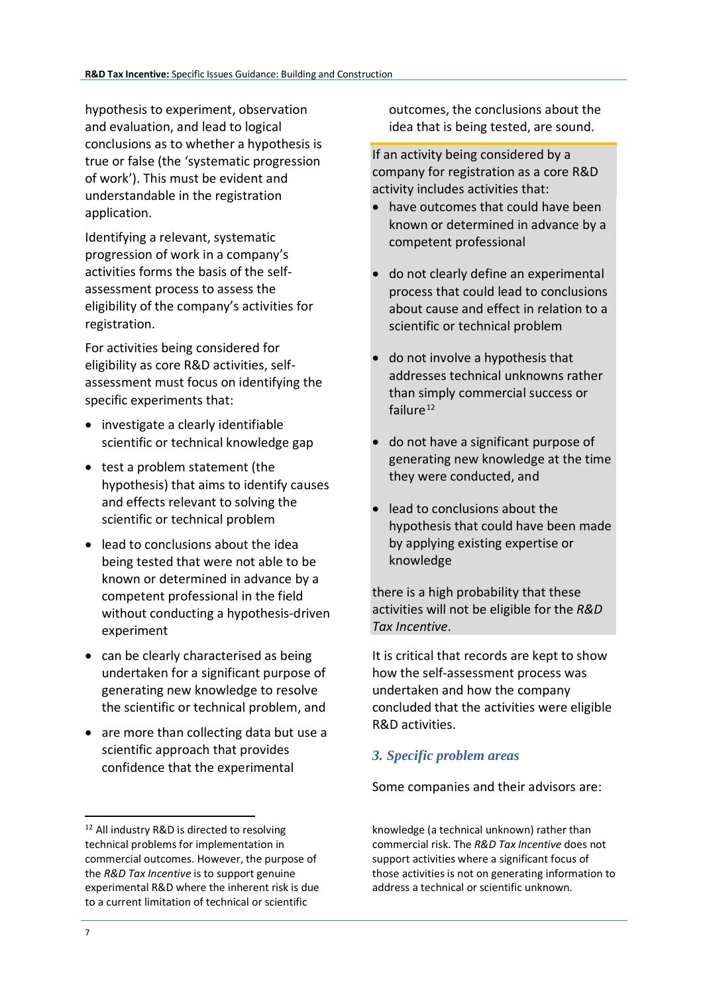hypothesis to experiment, observation and evaluation, and lead to logical conclusions as to whether a hypothesis is true or false (the 'systematic progression of work'). This must be evident and understandable in the registration application.

Identifying a relevant, systematic progression of work in a company's activities forms the basis of the selfassessment process to assess the eligibility of the company's activities for registration.

For activities being considered for eligibility as core R&D activities, selfassessment must focus on identifying the specific experiments that:

- investigate a clearly identifiable scientific or technical knowledge gap
- test a problem statement (the hypothesis) that aims to identify causes and effects relevant to solving the scientific or technical problem
- lead to conclusions about the idea being tested that were not able to be known or determined in advance by a competent professional in the field without conducting a hypothesis-driven experiment
- can be clearly characterised as being undertaken for a significant purpose of generating new knowledge to resolve the scientific or technical problem, and
- are more than collecting data but use a scientific approach that provides confidence that the experimental

outcomes, the conclusions about the idea that is being tested, are sound.

If an activity being considered by a company for registration as a core R&D activity includes activities that:

- have outcomes that could have been known or determined in advance by a competent professional
- do not clearly define an experimental process that could lead to conclusions about cause and effect in relation to a scientific or technical problem
- do not involve a hypothesis that addresses technical unknowns rather than simply commercial success or failure $12$
- do not have a significant purpose of generating new knowledge at the time they were conducted, and
- lead to conclusions about the hypothesis that could have been made by applying existing expertise or knowledge

there is a high probability that these activities will not be eligible for the *R&D Tax Incentive*.

It is critical that records are kept to show how the self-assessment process was undertaken and how the company concluded that the activities were eligible R&D activities.

## *3. Specific problem areas*

Some companies and their advisors are:

knowledge (a technical unknown) rather than commercial risk. The *R&D Tax Incentive* does not support activities where a significant focus of those activities is not on generating information to address a technical or scientific unknown.

<span id="page-6-0"></span><sup>&</sup>lt;sup>12</sup> All industry R&D is directed to resolving technical problems for implementation in commercial outcomes. However, the purpose of the *R&D Tax Incentive* is to support genuine experimental R&D where the inherent risk is due to a current limitation of technical or scientific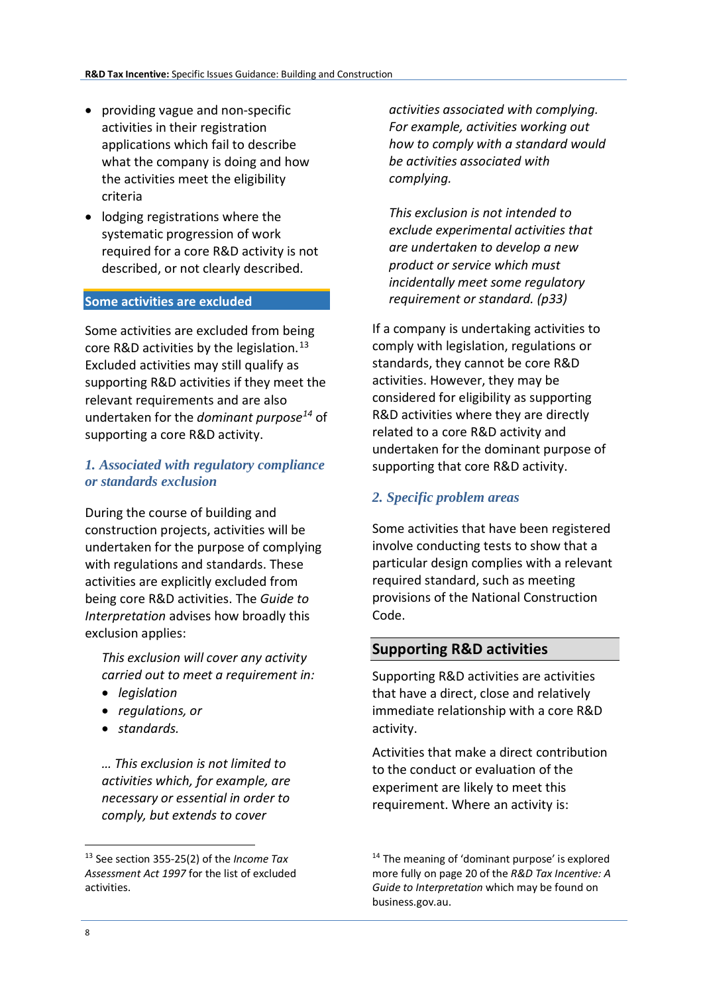- providing vague and non-specific activities in their registration applications which fail to describe what the company is doing and how the activities meet the eligibility criteria
- lodging registrations where the systematic progression of work required for a core R&D activity is not described, or not clearly described.

#### **Some activities are excluded**

Some activities are excluded from being core R&D activities by the legislation.<sup>[13](#page-7-0)</sup> Excluded activities may still qualify as supporting R&D activities if they meet the relevant requirements and are also undertaken for the *dominant purpose[14](#page-7-0)* of supporting a core R&D activity.

#### *1. Associated with regulatory compliance or standards exclusion*

During the course of building and construction projects, activities will be undertaken for the purpose of complying with regulations and standards. These activities are explicitly excluded from being core R&D activities. The *Guide to Interpretation* advises how broadly this exclusion applies:

*This exclusion will cover any activity carried out to meet a requirement in:* 

- *legislation*
- *regulations, or*
- *standards.*

*… This exclusion is not limited to activities which, for example, are necessary or essential in order to comply, but extends to cover* 

*activities associated with complying. For example, activities working out how to comply with a standard would be activities associated with complying.* 

*This exclusion is not intended to exclude experimental activities that are undertaken to develop a new product or service which must incidentally meet some regulatory requirement or standard. (p33)*

If a company is undertaking activities to comply with legislation, regulations or standards, they cannot be core R&D activities. However, they may be considered for eligibility as supporting R&D activities where they are directly related to a core R&D activity and undertaken for the dominant purpose of supporting that core R&D activity.

#### *2. Specific problem areas*

Some activities that have been registered involve conducting tests to show that a particular design complies with a relevant required standard, such as meeting provisions of the National Construction Code.

#### **Supporting R&D activities**

Supporting R&D activities are activities that have a direct, close and relatively immediate relationship with a core R&D activity.

Activities that make a direct contribution to the conduct or evaluation of the experiment are likely to meet this requirement. Where an activity is:

<span id="page-7-0"></span><sup>13</sup> See section 355-25(2) of the *Income Tax Assessment Act 1997* for the list of excluded activities.

<sup>&</sup>lt;sup>14</sup> The meaning of 'dominant purpose' is explored more fully on page 20 of the *R&D Tax Incentive: A Guide to Interpretation* which may be found on business.gov.au.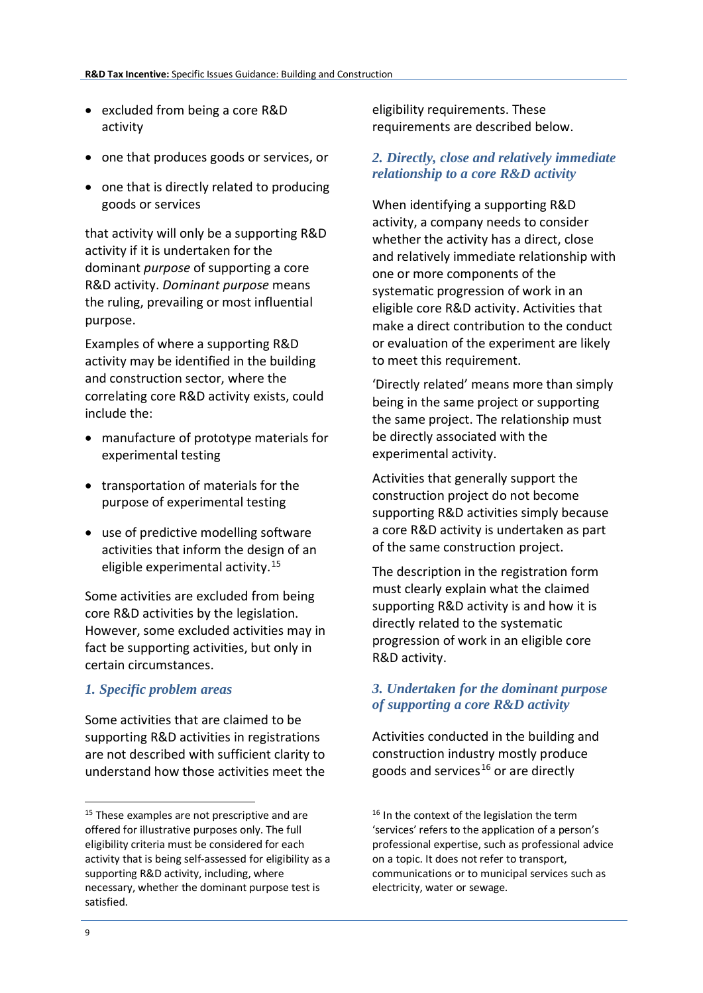- excluded from being a core R&D activity
- one that produces goods or services, or
- one that is directly related to producing goods or services

that activity will only be a supporting R&D activity if it is undertaken for the dominant *purpose* of supporting a core R&D activity. *Dominant purpose* means the ruling, prevailing or most influential purpose.

Examples of where a supporting R&D activity may be identified in the building and construction sector, where the correlating core R&D activity exists, could include the:

- manufacture of prototype materials for experimental testing
- transportation of materials for the purpose of experimental testing
- use of predictive modelling software activities that inform the design of an eligible experimental activity.[15](#page-8-0)

Some activities are excluded from being core R&D activities by the legislation. However, some excluded activities may in fact be supporting activities, but only in certain circumstances.

### *1. Specific problem areas*

Some activities that are claimed to be supporting R&D activities in registrations are not described with sufficient clarity to understand how those activities meet the

eligibility requirements. These requirements are described below.

## *2. Directly, close and relatively immediate relationship to a core R&D activity*

When identifying a supporting R&D activity, a company needs to consider whether the activity has a direct, close and relatively immediate relationship with one or more components of the systematic progression of work in an eligible core R&D activity. Activities that make a direct contribution to the conduct or evaluation of the experiment are likely to meet this requirement.

'Directly related' means more than simply being in the same project or supporting the same project. The relationship must be directly associated with the experimental activity.

Activities that generally support the construction project do not become supporting R&D activities simply because a core R&D activity is undertaken as part of the same construction project.

The description in the registration form must clearly explain what the claimed supporting R&D activity is and how it is directly related to the systematic progression of work in an eligible core R&D activity.

### *3. Undertaken for the dominant purpose of supporting a core R&D activity*

Activities conducted in the building and construction industry mostly produce goods and services<sup>[16](#page-8-0)</sup> or are directly

<span id="page-8-0"></span><sup>&</sup>lt;sup>15</sup> These examples are not prescriptive and are offered for illustrative purposes only. The full eligibility criteria must be considered for each activity that is being self-assessed for eligibility as a supporting R&D activity, including, where necessary, whether the dominant purpose test is satisfied.

<sup>&</sup>lt;sup>16</sup> In the context of the legislation the term 'services' refers to the application of a person's professional expertise, such as professional advice on a topic. It does not refer to transport, communications or to municipal services such as electricity, water or sewage.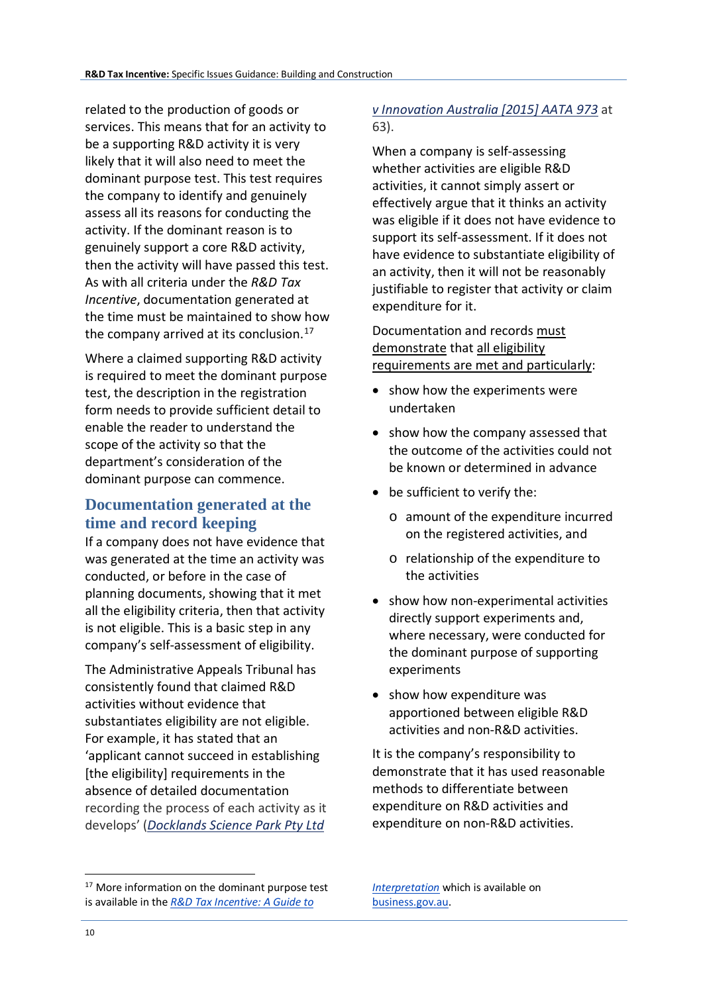related to the production of goods or services. This means that for an activity to be a supporting R&D activity it is very likely that it will also need to meet the dominant purpose test. This test requires the company to identify and genuinely assess all its reasons for conducting the activity. If the dominant reason is to genuinely support a core R&D activity, then the activity will have passed this test. As with all criteria under the *R&D Tax Incentive*, documentation generated at the time must be maintained to show how the company arrived at its conclusion.<sup>[17](#page-9-0)</sup>

Where a claimed supporting R&D activity is required to meet the dominant purpose test, the description in the registration form needs to provide sufficient detail to enable the reader to understand the scope of the activity so that the department's consideration of the dominant purpose can commence.

# **Documentation generated at the time and record keeping**

If a company does not have evidence that was generated at the time an activity was conducted, or before in the case of planning documents, showing that it met all the eligibility criteria, then that activity is not eligible. This is a basic step in any company's self-assessment of eligibility.

The Administrative Appeals Tribunal has consistently found that claimed R&D activities without evidence that substantiates eligibility are not eligible. For example, it has stated that an 'applicant cannot succeed in establishing [the eligibility] requirements in the absence of detailed documentation recording the process of each activity as it develops' (*[Docklands Science Park Pty Ltd](http://www.austlii.edu.au/cgi-bin/sinodisp/au/cases/cth/AATA/2015/973.html?stem=0&synonyms=0&query=docklands%23_blank)* 

## *[v Innovation Australia \[2015\] AATA 973](http://www.austlii.edu.au/cgi-bin/sinodisp/au/cases/cth/AATA/2015/973.html?stem=0&synonyms=0&query=docklands%23_blank)* at 63).

When a company is self-assessing whether activities are eligible R&D activities, it cannot simply assert or effectively argue that it thinks an activity was eligible if it does not have evidence to support its self-assessment. If it does not have evidence to substantiate eligibility of an activity, then it will not be reasonably justifiable to register that activity or claim expenditure for it.

Documentation and records must demonstrate that all eligibility requirements are met and particularly:

- show how the experiments were undertaken
- show how the company assessed that the outcome of the activities could not be known or determined in advance
- be sufficient to verify the:
	- o amount of the expenditure incurred on the registered activities, and
	- o relationship of the expenditure to the activities
- show how non-experimental activities directly support experiments and, where necessary, were conducted for the dominant purpose of supporting experiments
- show how expenditure was apportioned between eligible R&D activities and non-R&D activities.

It is the company's responsibility to demonstrate that it has used reasonable methods to differentiate between expenditure on R&D activities and expenditure on non-R&D activities.

*[Interpretation](https://www.business.gov.au/%7E/media/Business/RDTI/Research-and-development-tax-incentive-guide-to-interpretation-PDF.ashx?la=en)* which is available on [business.gov.au.](https://www.business.gov.au/assistance/research-and-development-tax-incentive)

**.** 

<span id="page-9-0"></span><sup>&</sup>lt;sup>17</sup> More information on the dominant purpose test is available in the *[R&D Tax Incentive: A Guide to](https://www.business.gov.au/%7E/media/Business/RDTI/Research-and-development-tax-incentive-guide-to-interpretation-PDF.ashx?la=en)*